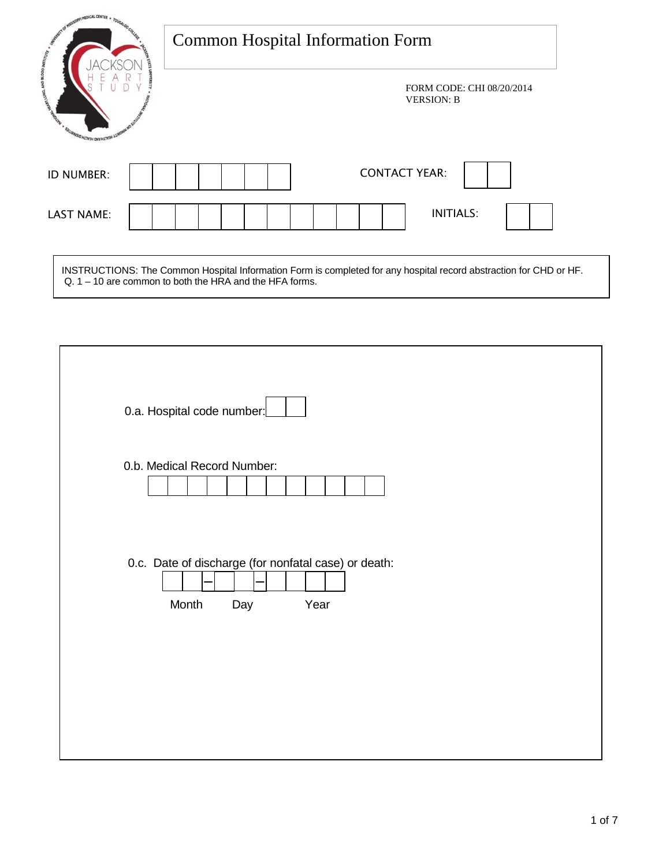| <b>MEDICAL CENTER</b>                                                                                                                                          | <b>Common Hospital Information Form</b>                                                                                                                                         |  |  |  |
|----------------------------------------------------------------------------------------------------------------------------------------------------------------|---------------------------------------------------------------------------------------------------------------------------------------------------------------------------------|--|--|--|
| Contraction of the Contraction of the Contraction of the Contraction of the Contraction of the Contraction of<br><b>SALIANSIO HLTV3H ONVHLTV3H<sup>1</sup></b> | FORM CODE: CHI 08/20/2014<br><b>VERSION: B</b>                                                                                                                                  |  |  |  |
| <b>ID NUMBER:</b>                                                                                                                                              | <b>CONTACT YEAR:</b>                                                                                                                                                            |  |  |  |
| <b>LAST NAME:</b>                                                                                                                                              | <b>INITIALS:</b>                                                                                                                                                                |  |  |  |
|                                                                                                                                                                | INSTRUCTIONS: The Common Hospital Information Form is completed for any hospital record abstraction for CHD or HF.<br>$Q. 1 - 10$ are common to both the HRA and the HFA forms. |  |  |  |

| 0.a. Hospital code number:                                                   |
|------------------------------------------------------------------------------|
| 0.b. Medical Record Number:                                                  |
| 0.c. Date of discharge (for nonfatal case) or death:<br>Month<br>Year<br>Day |
|                                                                              |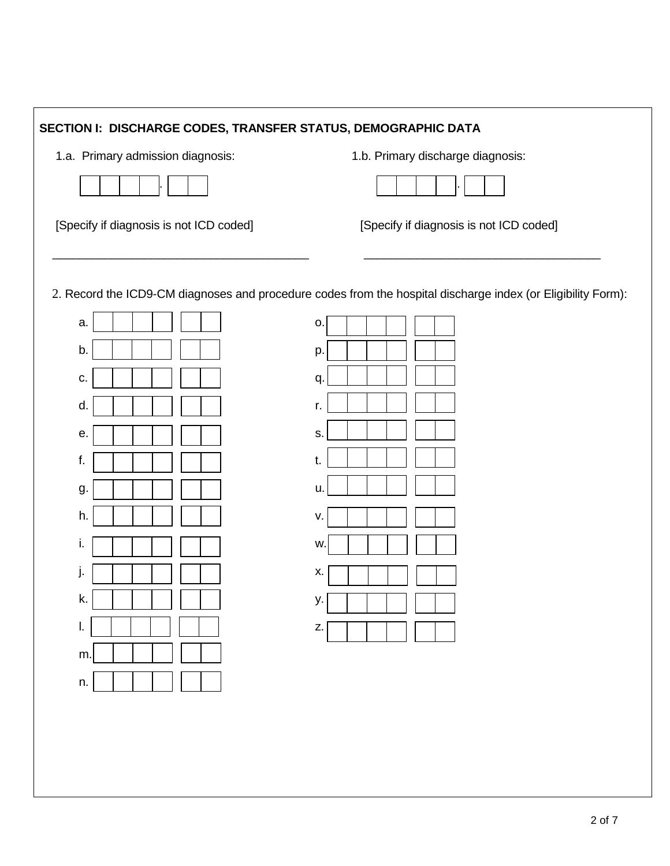| SECTION I: DISCHARGE CODES, TRANSFER STATUS, DEMOGRAPHIC DATA             |                                                                                                                                                                                      |  |  |  |
|---------------------------------------------------------------------------|--------------------------------------------------------------------------------------------------------------------------------------------------------------------------------------|--|--|--|
| 1.a. Primary admission diagnosis:                                         | 1.b. Primary discharge diagnosis:                                                                                                                                                    |  |  |  |
|                                                                           |                                                                                                                                                                                      |  |  |  |
| [Specify if diagnosis is not ICD coded]                                   | [Specify if diagnosis is not ICD coded]                                                                                                                                              |  |  |  |
| a.<br>b.<br>С.<br>d.<br>е.<br>f.<br>g.<br>h.<br>İ.<br>k.<br>I.<br>m<br>n. | 2. Record the ICD9-CM diagnoses and procedure codes from the hospital discharge index (or Eligibility Form):<br>o.<br>p.<br>q.<br>r.<br>S.<br>t.<br>u.<br>v.<br>W.<br>Х.<br>у.<br>Z. |  |  |  |
|                                                                           |                                                                                                                                                                                      |  |  |  |
|                                                                           |                                                                                                                                                                                      |  |  |  |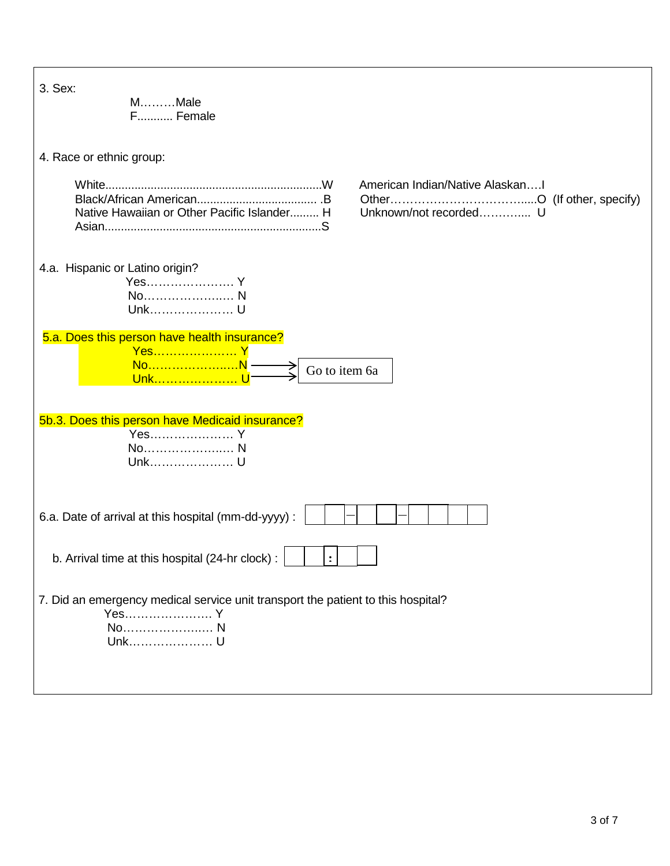| 3. Sex:<br>MMale<br>F Female                                                                               |  |
|------------------------------------------------------------------------------------------------------------|--|
| 4. Race or ethnic group:                                                                                   |  |
| American Indian/Native AlaskanI<br>Unknown/not recorded U<br>Native Hawaiian or Other Pacific Islander H   |  |
| 4.a. Hispanic or Latino origin?<br>Yes Y<br>Unk U                                                          |  |
| 5.a. Does this person have health insurance?<br>Yes Y<br>NoN<br>Go to item 6a<br>Unk l                     |  |
| 5b.3. Does this person have Medicaid insurance?<br>Yes Y<br>No N<br>Unk U                                  |  |
| 6.a. Date of arrival at this hospital (mm-dd-yyyy) :                                                       |  |
| b. Arrival time at this hospital (24-hr clock) :<br>$\mathbf{r}$                                           |  |
| 7. Did an emergency medical service unit transport the patient to this hospital?<br>Yes Y<br>No N<br>Unk U |  |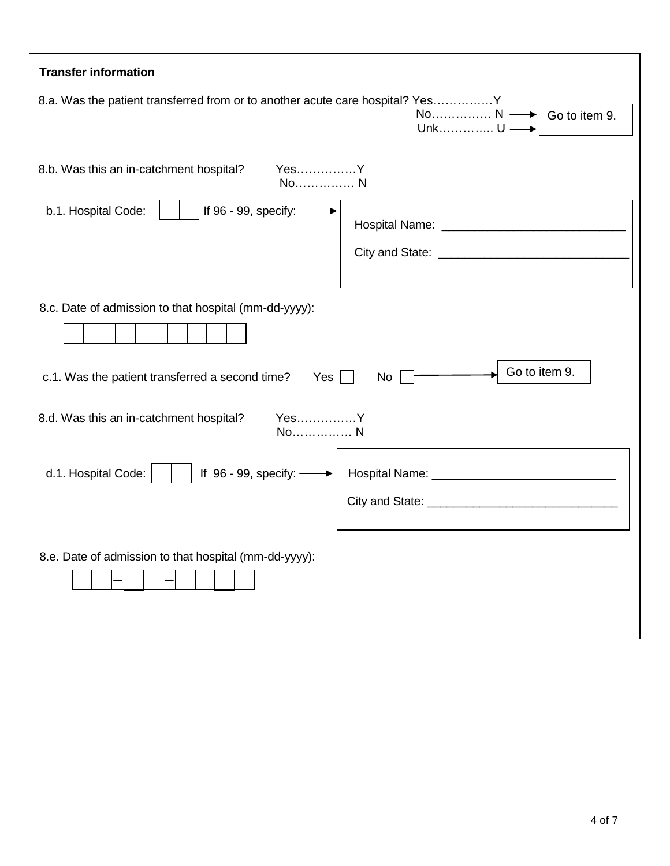| <b>Transfer information</b>                                                                                     |                                                  |  |  |  |
|-----------------------------------------------------------------------------------------------------------------|--------------------------------------------------|--|--|--|
| 8.a. Was the patient transferred from or to another acute care hospital? YesY                                   | No N -<br>$\rightarrow$ Go to item 9.<br>Unk U - |  |  |  |
| 8.b. Was this an in-catchment hospital?<br>YesY<br>No N<br>If 96 - 99, specify: -<br>b.1. Hospital Code:        |                                                  |  |  |  |
| 8.c. Date of admission to that hospital (mm-dd-yyyy):<br>c.1. Was the patient transferred a second time?<br>Yes | Go to item 9.<br>No <sub>1</sub>                 |  |  |  |
| YesY<br>8.d. Was this an in-catchment hospital?<br>No N                                                         |                                                  |  |  |  |
| If 96 - 99, specify: -<br>d.1. Hospital Code:                                                                   |                                                  |  |  |  |
| 8.e. Date of admission to that hospital (mm-dd-yyyy):                                                           |                                                  |  |  |  |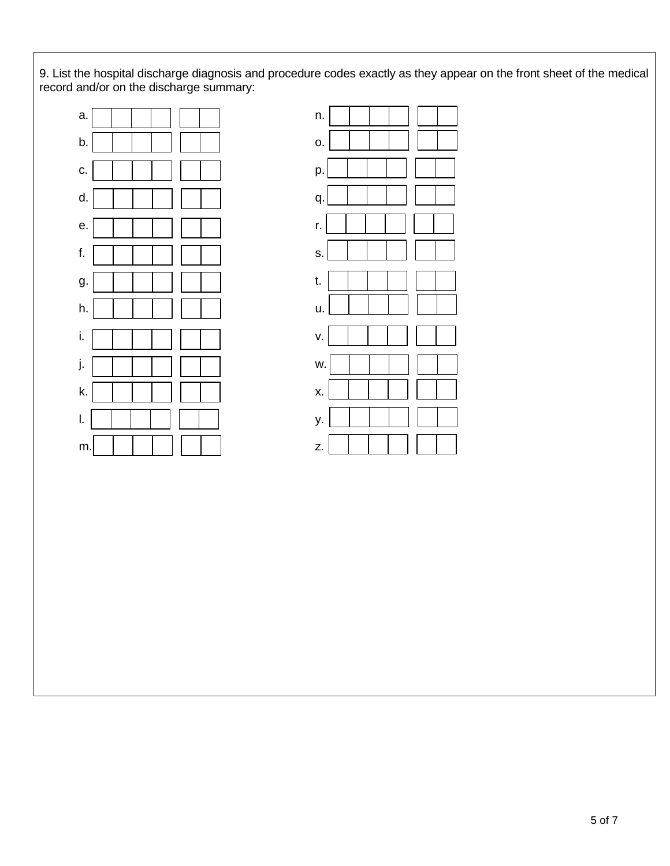9. List the hospital discharge diagnosis and procedure codes exactly as they appear on the front sheet of the medical record and/or on the discharge summary:





L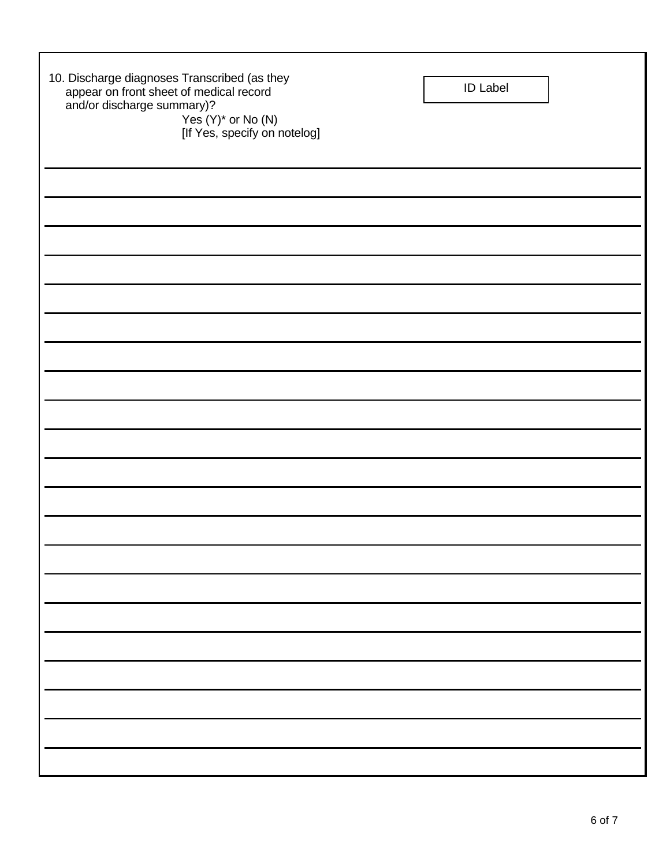| 10. Discharge diagnoses Transcribed (as they<br>appear on front sheet of medical record<br>and/or discharge summary)?<br>Yes $(Y)^*$ or No $(N)$<br>[If Yes, specify on notelog] | <b>ID Label</b> |  |
|----------------------------------------------------------------------------------------------------------------------------------------------------------------------------------|-----------------|--|
|                                                                                                                                                                                  |                 |  |
|                                                                                                                                                                                  |                 |  |
|                                                                                                                                                                                  |                 |  |
|                                                                                                                                                                                  |                 |  |
|                                                                                                                                                                                  |                 |  |
|                                                                                                                                                                                  |                 |  |
|                                                                                                                                                                                  |                 |  |
|                                                                                                                                                                                  |                 |  |
|                                                                                                                                                                                  |                 |  |
|                                                                                                                                                                                  |                 |  |
|                                                                                                                                                                                  |                 |  |
|                                                                                                                                                                                  |                 |  |
|                                                                                                                                                                                  |                 |  |
|                                                                                                                                                                                  |                 |  |
|                                                                                                                                                                                  |                 |  |
|                                                                                                                                                                                  |                 |  |
|                                                                                                                                                                                  |                 |  |
|                                                                                                                                                                                  |                 |  |
|                                                                                                                                                                                  |                 |  |
|                                                                                                                                                                                  |                 |  |
|                                                                                                                                                                                  |                 |  |

j.